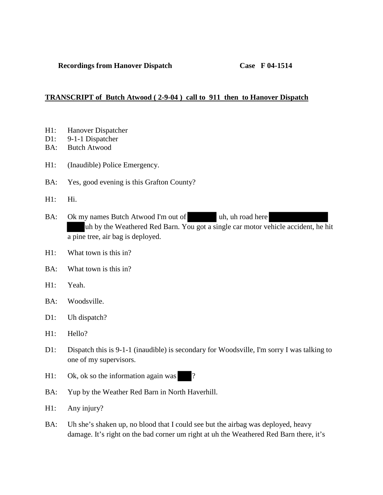## **TRANSCRIPT of Butch Atwood ( 2-9-04 ) call to 911 then to Hanover Dispatch**

- H1: Hanover Dispatcher
- D1: 9-1-1 Dispatcher
- BA: Butch Atwood
- H1: (Inaudible) Police Emergency.
- BA: Yes, good evening is this Grafton County?
- H1: Hi.
- BA: Ok my names Butch Atwood I'm out of uh, uh road here uh by the Weathered Red Barn. You got a single car motor vehicle accident, he hit a pine tree, air bag is deployed.
- $H1:$  What town is this in?
- BA: What town is this in?
- H1: Yeah.
- BA: Woodsville.
- D1: Uh dispatch?
- H1: Hello?
- D1: Dispatch this is 9-1-1 (inaudible) is secondary for Woodsville, I'm sorry I was talking to one of my supervisors.
- $H1:$  Ok, ok so the information again was ?
- BA: Yup by the Weather Red Barn in North Haverhill.
- H1: Any injury?
- BA: Uh she's shaken up, no blood that I could see but the airbag was deployed, heavy damage. It's right on the bad corner um right at uh the Weathered Red Barn there, it's